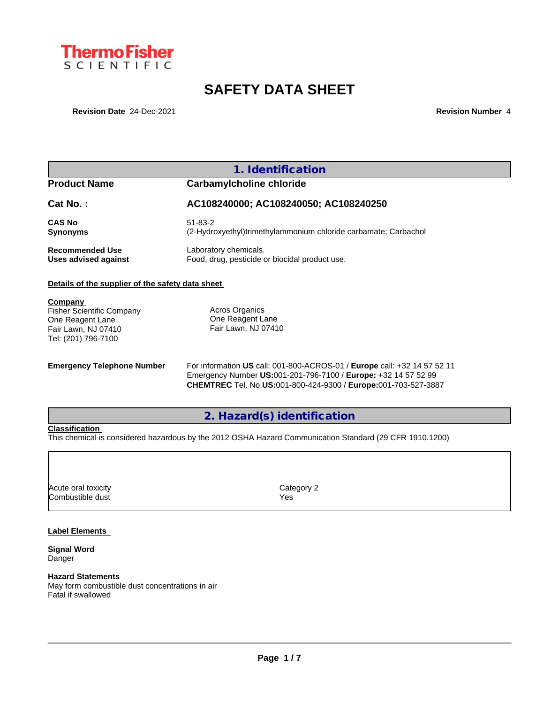

# **SAFETY DATA SHEET**

**Revision Date** 24-Dec-2021 **Revision Date** 24-Dec-2021

### **1. Identification**

# **Product Name Carbamylcholine chloride Cat No. : AC108240000; AC108240050; AC108240250 CAS No** 51-83-2 **Synonyms** (2-Hydroxyethyl)trimethylammonium chloride carbamate; Carbachol **Recommended Use** Laboratory chemicals.<br> **Uses advised against** Food, drug, pesticide of Food, drug, pesticide or biocidal product use.

### **Details of the supplier of the safety data sheet**

**Company**  Fisher Scientific Company

One Reagent Lane Fair Lawn, NJ 07410 Tel: (201) 796-7100

Acros Organics One Reagent Lane Fair Lawn, NJ 07410

**Emergency Telephone Number** For information **US** call: 001-800-ACROS-01 / **Europe** call: +32 14 57 52 11 Emergency Number **US:**001-201-796-7100 / **Europe:** +32 14 57 52 99 **CHEMTREC** Tel. No.**US:**001-800-424-9300 / **Europe:**001-703-527-3887

### **2. Hazard(s) identification**

#### **Classification**

This chemical is considered hazardous by the 2012 OSHA Hazard Communication Standard (29 CFR 1910.1200)

| Acute oral toxicity | Category 2 |
|---------------------|------------|
| Combustible dust    | Yes        |

#### **Label Elements**

**Signal Word** Danger

#### **Hazard Statements**

May form combustible dust concentrations in air Fatal if swallowed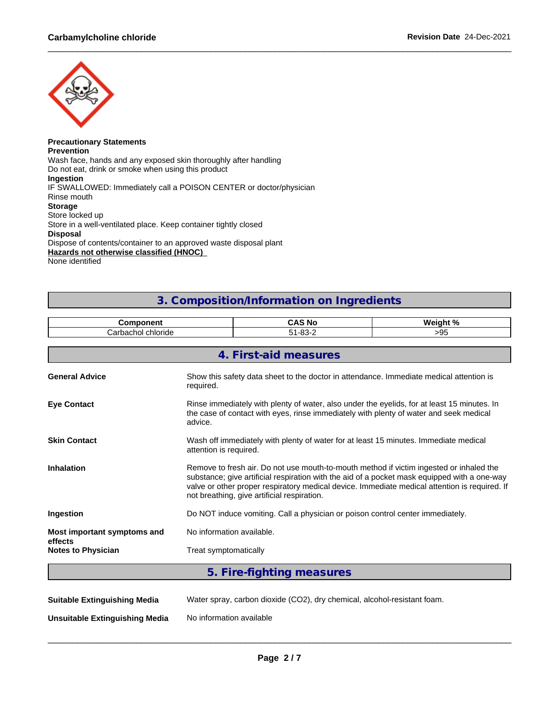

#### **Precautionary Statements Prevention**

Wash face, hands and any exposed skin thoroughly after handling Do not eat, drink or smoke when using this product **Ingestion** IF SWALLOWED: Immediately call a POISON CENTER or doctor/physician Rinse mouth **Storage** Store locked up Store in a well-ventilated place. Keep container tightly closed **Disposal** Dispose of contents/container to an approved waste disposal plant **Hazards not otherwise classified (HNOC)** None identified

## **3. Composition/Information on Ingredients**

| .                              | -<br>N0                        | $M$ ainht % |
|--------------------------------|--------------------------------|-------------|
| `orb<br>chloride<br>$n \geq 1$ | $\sim$<br>- -<br>.<br>ิบม<br>_ | ״<br>ิบ     |

|                                                                   | 4. First-aid measures                                                                                                                                                                                                                                                                                                                   |  |  |  |
|-------------------------------------------------------------------|-----------------------------------------------------------------------------------------------------------------------------------------------------------------------------------------------------------------------------------------------------------------------------------------------------------------------------------------|--|--|--|
| <b>General Advice</b>                                             | Show this safety data sheet to the doctor in attendance. Immediate medical attention is<br>required.                                                                                                                                                                                                                                    |  |  |  |
| <b>Eye Contact</b>                                                | Rinse immediately with plenty of water, also under the eyelids, for at least 15 minutes. In<br>the case of contact with eyes, rinse immediately with plenty of water and seek medical<br>advice.                                                                                                                                        |  |  |  |
| <b>Skin Contact</b>                                               | Wash off immediately with plenty of water for at least 15 minutes. Immediate medical<br>attention is required.                                                                                                                                                                                                                          |  |  |  |
| <b>Inhalation</b>                                                 | Remove to fresh air. Do not use mouth-to-mouth method if victim ingested or inhaled the<br>substance; give artificial respiration with the aid of a pocket mask equipped with a one-way<br>valve or other proper respiratory medical device. Immediate medical attention is required. If<br>not breathing, give artificial respiration. |  |  |  |
| Ingestion                                                         | Do NOT induce vomiting. Call a physician or poison control center immediately.                                                                                                                                                                                                                                                          |  |  |  |
| Most important symptoms and                                       | No information available.                                                                                                                                                                                                                                                                                                               |  |  |  |
| effects<br><b>Notes to Physician</b>                              | Treat symptomatically                                                                                                                                                                                                                                                                                                                   |  |  |  |
|                                                                   | 5. Fire-fighting measures                                                                                                                                                                                                                                                                                                               |  |  |  |
|                                                                   |                                                                                                                                                                                                                                                                                                                                         |  |  |  |
| <b>Suitable Extinguishing Media</b>                               | Water spray, carbon dioxide (CO2), dry chemical, alcohol-resistant foam.                                                                                                                                                                                                                                                                |  |  |  |
| No information available<br><b>Unsuitable Extinguishing Media</b> |                                                                                                                                                                                                                                                                                                                                         |  |  |  |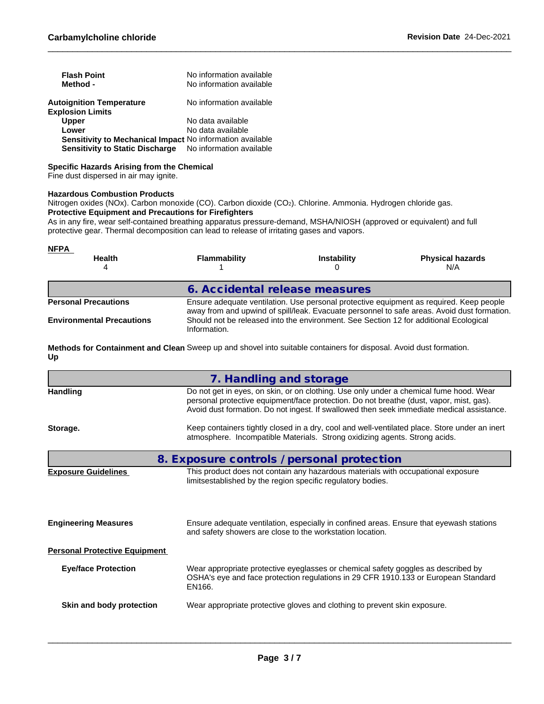| <b>Flash Point</b><br>Method -                                  | No information available<br>No information available |
|-----------------------------------------------------------------|------------------------------------------------------|
| <b>Autoignition Temperature</b><br><b>Explosion Limits</b>      | No information available                             |
| <b>Upper</b>                                                    | No data available                                    |
| Lower                                                           | No data available                                    |
| Sensitivity to Mechanical Impact No information available       |                                                      |
| <b>Sensitivity to Static Discharge</b> No information available |                                                      |

#### **Specific Hazards Arising from the Chemical**

Fine dust dispersed in air may ignite.

#### **Hazardous Combustion Products**

Nitrogen oxides (NOx). Carbon monoxide (CO). Carbon dioxide (CO2). Chlorine. Ammonia. Hydrogen chloride gas. **Protective Equipment and Precautions for Firefighters**

As in any fire, wear self-contained breathing apparatus pressure-demand, MSHA/NIOSH (approved or equivalent) and full protective gear. Thermal decomposition can lead to release of irritating gases and vapors.

| <b>NFPA</b><br><b>Health</b>     | <b>Flammability</b>                                                                                   | <b>Instability</b> | <b>Physical hazards</b><br>N/A                                                                                                                                                         |
|----------------------------------|-------------------------------------------------------------------------------------------------------|--------------------|----------------------------------------------------------------------------------------------------------------------------------------------------------------------------------------|
|                                  | 6. Accidental release measures                                                                        |                    |                                                                                                                                                                                        |
| <b>Personal Precautions</b>      |                                                                                                       |                    | Ensure adequate ventilation. Use personal protective equipment as required. Keep people<br>away from and upwind of spill/leak. Evacuate personnel to safe areas. Avoid dust formation. |
| <b>Environmental Precautions</b> | Should not be released into the environment. See Section 12 for additional Ecological<br>Information. |                    |                                                                                                                                                                                        |

**Methods for Containment and Clean** Sweep up and shovel into suitable containers for disposal. Avoid dust formation. **Up**

|                                      | 7. Handling and storage                                                                                                                                                                                                                                                        |
|--------------------------------------|--------------------------------------------------------------------------------------------------------------------------------------------------------------------------------------------------------------------------------------------------------------------------------|
| <b>Handling</b>                      | Do not get in eyes, on skin, or on clothing. Use only under a chemical fume hood. Wear<br>personal protective equipment/face protection. Do not breathe (dust, vapor, mist, gas).<br>Avoid dust formation. Do not ingest. If swallowed then seek immediate medical assistance. |
| Storage.                             | Keep containers tightly closed in a dry, cool and well-ventilated place. Store under an inert<br>atmosphere. Incompatible Materials. Strong oxidizing agents. Strong acids.                                                                                                    |
|                                      | 8. Exposure controls / personal protection                                                                                                                                                                                                                                     |
| <b>Exposure Guidelines</b>           | This product does not contain any hazardous materials with occupational exposure<br>limitsestablished by the region specific regulatory bodies.                                                                                                                                |
| <b>Engineering Measures</b>          | Ensure adequate ventilation, especially in confined areas. Ensure that eyewash stations<br>and safety showers are close to the workstation location.                                                                                                                           |
| <b>Personal Protective Equipment</b> |                                                                                                                                                                                                                                                                                |
| <b>Eye/face Protection</b>           | Wear appropriate protective eyeglasses or chemical safety goggles as described by<br>OSHA's eye and face protection regulations in 29 CFR 1910.133 or European Standard<br>EN166.                                                                                              |
| Skin and body protection             | Wear appropriate protective gloves and clothing to prevent skin exposure.                                                                                                                                                                                                      |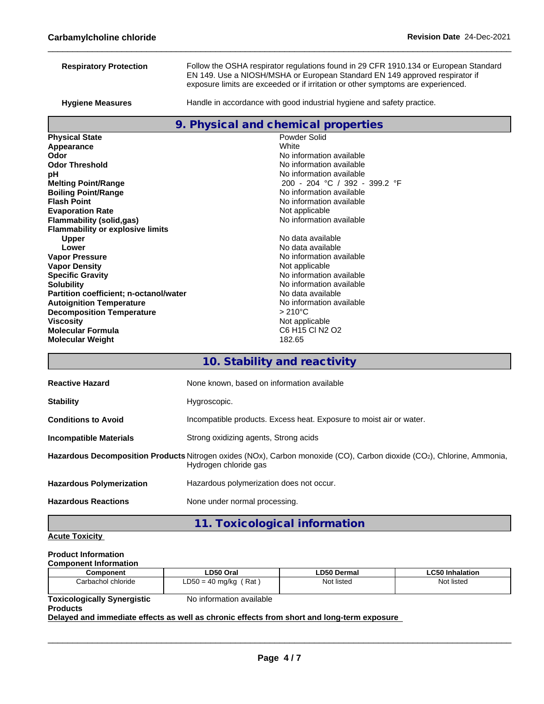|                                         | EN 149. Use a NIOSH/MSHA or European Standard EN 149 approved respirator if<br>exposure limits are exceeded or if irritation or other symptoms are experienced. |
|-----------------------------------------|-----------------------------------------------------------------------------------------------------------------------------------------------------------------|
| <b>Hygiene Measures</b>                 | Handle in accordance with good industrial hygiene and safety practice.                                                                                          |
|                                         | 9. Physical and chemical properties                                                                                                                             |
| <b>Physical State</b>                   | Powder Solid                                                                                                                                                    |
| Appearance                              | White                                                                                                                                                           |
| Odor                                    | No information available                                                                                                                                        |
| <b>Odor Threshold</b>                   | No information available                                                                                                                                        |
| рH                                      | No information available                                                                                                                                        |
| <b>Melting Point/Range</b>              | 200 - 204 °C / 392 - 399.2 °F                                                                                                                                   |
| <b>Boiling Point/Range</b>              | No information available                                                                                                                                        |
| <b>Flash Point</b>                      | No information available                                                                                                                                        |
| <b>Evaporation Rate</b>                 | Not applicable                                                                                                                                                  |
| <b>Flammability (solid,gas)</b>         | No information available                                                                                                                                        |
| <b>Flammability or explosive limits</b> |                                                                                                                                                                 |
| <b>Upper</b>                            | No data available                                                                                                                                               |
| Lower                                   | No data available                                                                                                                                               |
| <b>Vapor Pressure</b>                   | No information available                                                                                                                                        |
| <b>Vapor Density</b>                    | Not applicable                                                                                                                                                  |
| <b>Specific Gravity</b>                 | No information available                                                                                                                                        |
| <b>Solubility</b>                       | No information available                                                                                                                                        |
| Partition coefficient; n-octanol/water  | No data available                                                                                                                                               |
| <b>Autoignition Temperature</b>         | No information available                                                                                                                                        |
| <b>Decomposition Temperature</b>        | $>210^{\circ}$ C                                                                                                                                                |
| <b>Viscosity</b>                        | Not applicable                                                                                                                                                  |
| <b>Molecular Formula</b>                | C6 H15 CI N2 O2                                                                                                                                                 |
| <b>Molecular Weight</b>                 | 182.65                                                                                                                                                          |
|                                         | 10. Stability and reactivity                                                                                                                                    |

| <b>Reactive Hazard</b>          | None known, based on information available                                                                                                      |
|---------------------------------|-------------------------------------------------------------------------------------------------------------------------------------------------|
| <b>Stability</b>                | Hygroscopic.                                                                                                                                    |
| <b>Conditions to Avoid</b>      | Incompatible products. Excess heat. Exposure to moist air or water.                                                                             |
| <b>Incompatible Materials</b>   | Strong oxidizing agents, Strong acids                                                                                                           |
|                                 | Hazardous Decomposition Products Nitrogen oxides (NOx), Carbon monoxide (CO), Carbon dioxide (CO2), Chlorine, Ammonia,<br>Hydrogen chloride gas |
| <b>Hazardous Polymerization</b> | Hazardous polymerization does not occur.                                                                                                        |
| <b>Hazardous Reactions</b>      | None under normal processing.                                                                                                                   |
|                                 | 11. Toxicological information                                                                                                                   |

### **Acute Toxicity**

#### **Product Information Component Information**

| Component                          | LD50 Oral                                                                                  | <b>LD50 Dermal</b> | LC50 Inhalation |
|------------------------------------|--------------------------------------------------------------------------------------------|--------------------|-----------------|
| Carbachol chloride                 | $LD50 = 40$ mg/kg (Rat)                                                                    | Not listed         | Not listed      |
| <b>Toxicologically Synergistic</b> | No information available                                                                   |                    |                 |
| <b>Products</b>                    |                                                                                            |                    |                 |
|                                    | Delayed and immediate effects as well as chronic effects from short and long-term exposure |                    |                 |
|                                    |                                                                                            |                    |                 |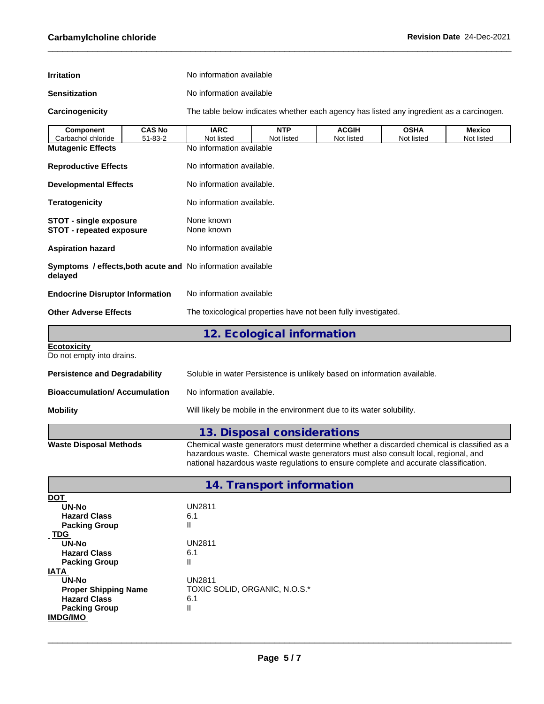| <b>Irritation</b>    | No information available |
|----------------------|--------------------------|
| <b>Sensitization</b> | No information available |

**Carcinogenicity** The table below indicateswhether each agency has listed any ingredient as a carcinogen.

| Component                                                                     | <b>CAS No</b> | <b>IARC</b>                                                    | <b>NTP</b>                 | <b>ACGIH</b> | <b>OSHA</b> | <b>Mexico</b> |
|-------------------------------------------------------------------------------|---------------|----------------------------------------------------------------|----------------------------|--------------|-------------|---------------|
| Carbachol chloride                                                            | $51 - 83 - 2$ | Not listed                                                     | Not listed                 | Not listed   | Not listed  | Not listed    |
| <b>Mutagenic Effects</b>                                                      |               | No information available                                       |                            |              |             |               |
| <b>Reproductive Effects</b>                                                   |               | No information available.                                      |                            |              |             |               |
| <b>Developmental Effects</b>                                                  |               | No information available.                                      |                            |              |             |               |
| <b>Teratogenicity</b>                                                         |               | No information available.                                      |                            |              |             |               |
| STOT - single exposure<br><b>STOT - repeated exposure</b>                     |               | None known<br>None known                                       |                            |              |             |               |
| <b>Aspiration hazard</b>                                                      |               | No information available                                       |                            |              |             |               |
| <b>Symptoms / effects, both acute and No information available</b><br>delayed |               |                                                                |                            |              |             |               |
| <b>Endocrine Disruptor Information</b>                                        |               | No information available                                       |                            |              |             |               |
| <b>Other Adverse Effects</b>                                                  |               | The toxicological properties have not been fully investigated. |                            |              |             |               |
|                                                                               |               |                                                                | 12. Ecological information |              |             |               |
| <b>Ecotoxicity</b><br>Do not empty into drains.                               |               |                                                                |                            |              |             |               |

| <b>Waste Disposal Methods</b>        | Chemical waste generators must determine whether a discarded chemical is classified as a |
|--------------------------------------|------------------------------------------------------------------------------------------|
|                                      | 13. Disposal considerations                                                              |
| <b>Mobility</b>                      | Will likely be mobile in the environment due to its water solubility.                    |
| <b>Bioaccumulation/Accumulation</b>  | No information available.                                                                |
| <b>Persistence and Degradability</b> | Soluble in water Persistence is unlikely based on information available.                 |

| hazardous waste. Chemical waste generators must also consult local, regional, and<br>national hazardous waste regulations to ensure complete and accurate classification. |
|---------------------------------------------------------------------------------------------------------------------------------------------------------------------------|
| 14. Transport information                                                                                                                                                 |
|                                                                                                                                                                           |
| <b>UN2811</b>                                                                                                                                                             |
| 6.1                                                                                                                                                                       |
| $\mathsf{II}$                                                                                                                                                             |
|                                                                                                                                                                           |
| <b>UN2811</b>                                                                                                                                                             |
| 6.1                                                                                                                                                                       |
| $\mathsf{II}$                                                                                                                                                             |
|                                                                                                                                                                           |
| <b>UN2811</b>                                                                                                                                                             |
| TOXIC SOLID, ORGANIC, N.O.S.*                                                                                                                                             |
| 6.1                                                                                                                                                                       |
| Ш                                                                                                                                                                         |
|                                                                                                                                                                           |
|                                                                                                                                                                           |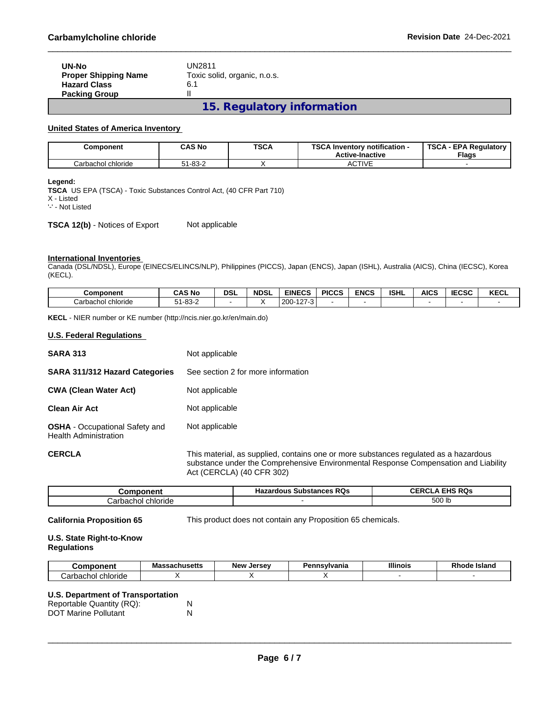|                             | $\mathbf{A} \mathbf{F}$ . $\mathbf{D}$ and $\mathbf{A}$ and $\mathbf{A}$ and $\mathbf{A}$ and $\mathbf{A}$ |
|-----------------------------|------------------------------------------------------------------------------------------------------------|
| <b>Packing Group</b>        |                                                                                                            |
| <b>Hazard Class</b>         | 6.1                                                                                                        |
| <b>Proper Shipping Name</b> | Toxic solid, organic, n.o.s.                                                                               |
| UN-No                       | UN2811                                                                                                     |

**15. Regulatory information**

#### **United States of America Inventory**

| <b>Component</b>              | <b>CAS No</b>       | <b>TSCA</b> | TOO A I<br><br>. Inventorv notification -<br><b>Active-Inactive</b> | ᅚᅂᅀ<br><b>EPA Regulatory</b><br>эı<br><b>Flags</b> |
|-------------------------------|---------------------|-------------|---------------------------------------------------------------------|----------------------------------------------------|
| achol chloride<br>`~ "'<br>Jď | $1 - 83 - 2$<br>. . |             | <b>CTIVE</b><br>∼                                                   |                                                    |

#### **Legend:**

**TSCA** US EPA (TSCA) - Toxic Substances Control Act, (40 CFR Part 710) X - Listed '-' - Not Listed

**TSCA 12(b)** - Notices of Export Not applicable

#### **International Inventories**

Canada (DSL/NDSL), Europe (EINECS/ELINCS/NLP), Philippines (PICCS), Japan (ENCS), Japan (ISHL), Australia (AICS), China (IECSC), Korea (KECL).

| Component                  | <b>CAS No</b>  | DSL | <b>NDSL</b> | <b>EINECS</b>            | <b>PICCS</b> | <b>ENCS</b> | <b>ISHL</b> | <b>AICS</b> | <b>IFCSC</b><br>:656 | <b>KECL</b> |
|----------------------------|----------------|-----|-------------|--------------------------|--------------|-------------|-------------|-------------|----------------------|-------------|
| Carbachol ⊴<br>il chloride | ററ ല<br>ັບປີ 4 |     |             | $\sim$<br>200<br>$\cdot$ |              |             |             |             |                      |             |

**KECL** - NIER number or KE number (http://ncis.nier.go.kr/en/main.do)

#### **U.S. Federal Regulations**

| <b>SARA 313</b>                                                       | Not applicable                                                                                                                                                                                           |
|-----------------------------------------------------------------------|----------------------------------------------------------------------------------------------------------------------------------------------------------------------------------------------------------|
| <b>SARA 311/312 Hazard Categories</b>                                 | See section 2 for more information                                                                                                                                                                       |
| <b>CWA (Clean Water Act)</b>                                          | Not applicable                                                                                                                                                                                           |
| <b>Clean Air Act</b>                                                  | Not applicable                                                                                                                                                                                           |
| <b>OSHA</b> - Occupational Safety and<br><b>Health Administration</b> | Not applicable                                                                                                                                                                                           |
| <b>CERCLA</b>                                                         | This material, as supplied, contains one or more substances regulated as a hazardous<br>substance under the Comprehensive Environmental Response Compensation and Liability<br>Act (CERCLA) (40 CFR 302) |

| nponent                                          | <b>Substances RQs</b><br>zardous<br>na. | FIBOR<br>. Rus<br>CER |
|--------------------------------------------------|-----------------------------------------|-----------------------|
| $\sim$ $\sim$<br>Pcho⊧.<br>chloride<br>тжи<br>,, |                                         | 500 lb                |

**California Proposition 65** This product does not contain any Proposition 65 chemicals.

#### **U.S. State Right-to-Know Regulations**

| <b>Component</b>   | - -<br>Massachusetts | <b>New</b><br><b>Larcay</b><br>JEISE | 'ennsvlvania<br>. . | <b>Illinois</b> | Rhode<br>Island |
|--------------------|----------------------|--------------------------------------|---------------------|-----------------|-----------------|
| Carbachol chloride |                      |                                      |                     |                 |                 |

### **U.S. Department of Transportation**

| Reportable Quantity (RQ):   |  |
|-----------------------------|--|
| <b>DOT Marine Pollutant</b> |  |